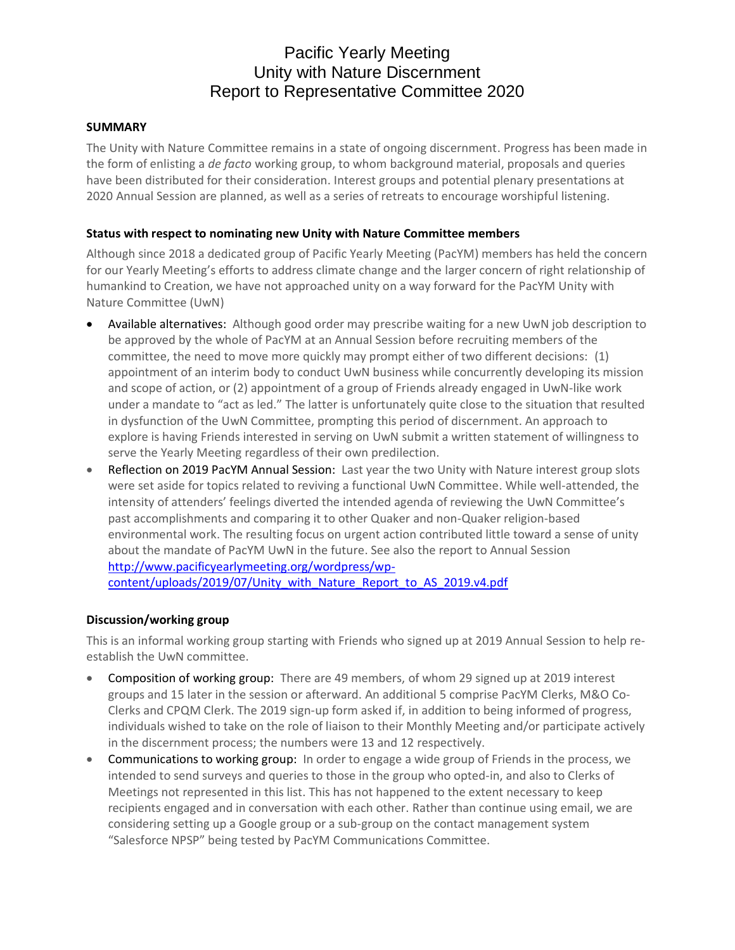# Pacific Yearly Meeting Unity with Nature Discernment Report to Representative Committee 2020

# **SUMMARY**

The Unity with Nature Committee remains in a state of ongoing discernment. Progress has been made in the form of enlisting a *de facto* working group, to whom background material, proposals and queries have been distributed for their consideration. Interest groups and potential plenary presentations at 2020 Annual Session are planned, as well as a series of retreats to encourage worshipful listening.

# **Status with respect to nominating new Unity with Nature Committee members**

Although since 2018 a dedicated group of Pacific Yearly Meeting (PacYM) members has held the concern for our Yearly Meeting's efforts to address climate change and the larger concern of right relationship of humankind to Creation, we have not approached unity on a way forward for the PacYM Unity with Nature Committee (UwN)

- Available alternatives: Although good order may prescribe waiting for a new UwN job description to be approved by the whole of PacYM at an Annual Session before recruiting members of the committee, the need to move more quickly may prompt either of two different decisions: (1) appointment of an interim body to conduct UwN business while concurrently developing its mission and scope of action, or (2) appointment of a group of Friends already engaged in UwN-like work under a mandate to "act as led." The latter is unfortunately quite close to the situation that resulted in dysfunction of the UwN Committee, prompting this period of discernment. An approach to explore is having Friends interested in serving on UwN submit a written statement of willingness to serve the Yearly Meeting regardless of their own predilection.
- Reflection on 2019 PacYM Annual Session: Last year the two Unity with Nature interest group slots were set aside for topics related to reviving a functional UwN Committee. While well-attended, the intensity of attenders' feelings diverted the intended agenda of reviewing the UwN Committee's past accomplishments and comparing it to other Quaker and non-Quaker religion-based environmental work. The resulting focus on urgent action contributed little toward a sense of unity about the mandate of PacYM UwN in the future. See also the report to Annual Session [http://www.pacificyearlymeeting.org/wordpress/wp](http://www.pacificyearlymeeting.org/wordpress/wp-content/uploads/2019/07/Unity_with_Nature_Report_to_AS_2019.v4.pdf)[content/uploads/2019/07/Unity\\_with\\_Nature\\_Report\\_to\\_AS\\_2019.v4.pdf](http://www.pacificyearlymeeting.org/wordpress/wp-content/uploads/2019/07/Unity_with_Nature_Report_to_AS_2019.v4.pdf)

## **Discussion/working group**

This is an informal working group starting with Friends who signed up at 2019 Annual Session to help reestablish the UwN committee.

- Composition of working group: There are 49 members, of whom 29 signed up at 2019 interest groups and 15 later in the session or afterward. An additional 5 comprise PacYM Clerks, M&O Co-Clerks and CPQM Clerk. The 2019 sign-up form asked if, in addition to being informed of progress, individuals wished to take on the role of liaison to their Monthly Meeting and/or participate actively in the discernment process; the numbers were 13 and 12 respectively.
- Communications to working group: In order to engage a wide group of Friends in the process, we intended to send surveys and queries to those in the group who opted-in, and also to Clerks of Meetings not represented in this list. This has not happened to the extent necessary to keep recipients engaged and in conversation with each other. Rather than continue using email, we are considering setting up a Google group or a sub-group on the contact management system "Salesforce NPSP" being tested by PacYM Communications Committee.